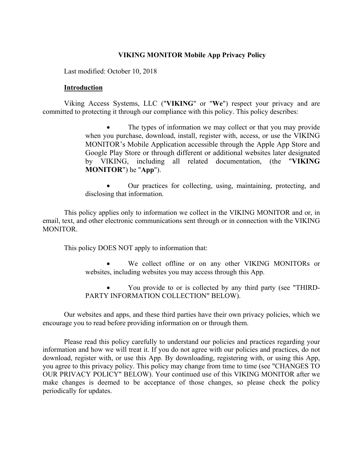## **VIKING MONITOR Mobile App Privacy Policy**

Last modified: October 10, 2018

### **Introduction**

Viking Access Systems, LLC ("**VIKING**" or "**We**") respect your privacy and are committed to protecting it through our compliance with this policy. This policy describes:

> The types of information we may collect or that you may provide when you purchase, download, install, register with, access, or use the VIKING MONITOR's Mobile Application accessible through the Apple App Store and Google Play Store or through different or additional websites later designated by VIKING, including all related documentation, (the "**VIKING MONITOR**") he "**App**").

> • Our practices for collecting, using, maintaining, protecting, and disclosing that information.

This policy applies only to information we collect in the VIKING MONITOR and or, in email, text, and other electronic communications sent through or in connection with the VIKING MONITOR.

This policy DOES NOT apply to information that:

We collect offline or on any other VIKING MONITORs or websites, including websites you may access through this App.

• You provide to or is collected by any third party (see "THIRD-PARTY INFORMATION COLLECTION" BELOW).

Our websites and apps, and these third parties have their own privacy policies, which we encourage you to read before providing information on or through them.

Please read this policy carefully to understand our policies and practices regarding your information and how we will treat it. If you do not agree with our policies and practices, do not download, register with, or use this App. By downloading, registering with, or using this App, you agree to this privacy policy. This policy may change from time to time (see "CHANGES TO OUR PRIVACY POLICY" BELOW). Your continued use of this VIKING MONITOR after we make changes is deemed to be acceptance of those changes, so please check the policy periodically for updates.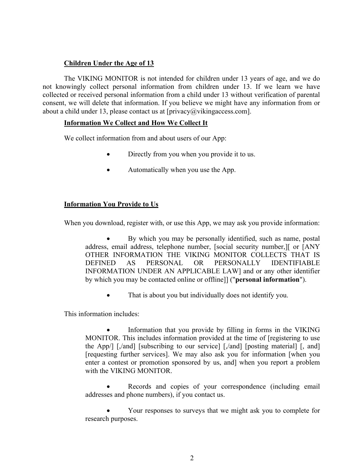# **Children Under the Age of 13**

The VIKING MONITOR is not intended for children under 13 years of age, and we do not knowingly collect personal information from children under 13. If we learn we have collected or received personal information from a child under 13 without verification of parental consent, we will delete that information. If you believe we might have any information from or about a child under 13, please contact us at  $[\text{privacy}(\hat{\omega})$  viking access.com].

## **Information We Collect and How We Collect It**

We collect information from and about users of our App:

- Directly from you when you provide it to us.
- Automatically when you use the App.

# **Information You Provide to Us**

When you download, register with, or use this App, we may ask you provide information:

• By which you may be personally identified, such as name, postal address, email address, telephone number, [social security number,][ or [ANY OTHER INFORMATION THE VIKING MONITOR COLLECTS THAT IS DEFINED AS PERSONAL OR PERSONALLY IDENTIFIABLE INFORMATION UNDER AN APPLICABLE LAW] and or any other identifier by which you may be contacted online or offline]] ("**personal information**").

That is about you but individually does not identify you.

This information includes:

Information that you provide by filling in forms in the VIKING MONITOR. This includes information provided at the time of [registering to use the App/] [,/and] [subscribing to our service] [,/and] [posting material] [, and] [requesting further services]. We may also ask you for information [when you enter a contest or promotion sponsored by us, and] when you report a problem with the VIKING MONITOR.

Records and copies of your correspondence (including email addresses and phone numbers), if you contact us.

• Your responses to surveys that we might ask you to complete for research purposes.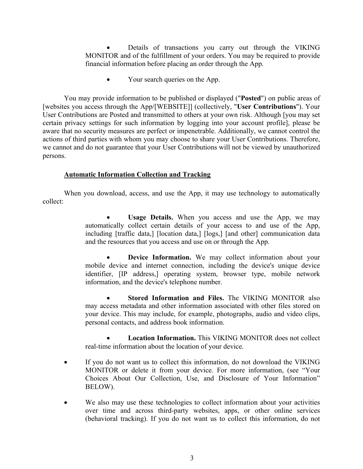Details of transactions you carry out through the VIKING MONITOR and of the fulfillment of your orders. You may be required to provide financial information before placing an order through the App.

• Your search queries on the App.

You may provide information to be published or displayed ("**Posted**") on public areas of [websites you access through the App/[WEBSITE]] (collectively, "**User Contributions**"). Your User Contributions are Posted and transmitted to others at your own risk. Although [you may set certain privacy settings for such information by logging into your account profile], please be aware that no security measures are perfect or impenetrable. Additionally, we cannot control the actions of third parties with whom you may choose to share your User Contributions. Therefore, we cannot and do not guarantee that your User Contributions will not be viewed by unauthorized persons.

# **Automatic Information Collection and Tracking**

When you download, access, and use the App, it may use technology to automatically collect:

> Usage Details. When you access and use the App, we may automatically collect certain details of your access to and use of the App, including [traffic data,] [location data,] [logs,] [and other] communication data and the resources that you access and use on or through the App.

> **Device Information.** We may collect information about your mobile device and internet connection, including the device's unique device identifier, [IP address,] operating system, browser type, mobile network information, and the device's telephone number.

> • **Stored Information and Files.** The VIKING MONITOR also may access metadata and other information associated with other files stored on your device. This may include, for example, photographs, audio and video clips, personal contacts, and address book information.

> • **Location Information.** This VIKING MONITOR does not collect real-time information about the location of your device.

- If you do not want us to collect this information, do not download the VIKING MONITOR or delete it from your device. For more information, (see "Your Choices About Our Collection, Use, and Disclosure of Your Information" BELOW).
- We also may use these technologies to collect information about your activities over time and across third-party websites, apps, or other online services (behavioral tracking). If you do not want us to collect this information, do not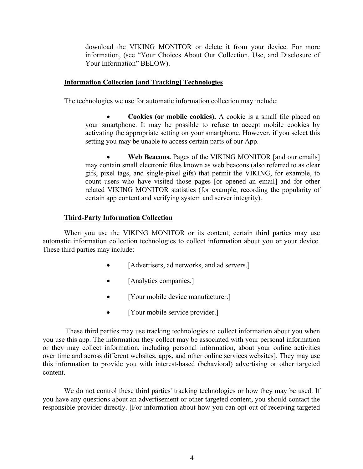download the VIKING MONITOR or delete it from your device. For more information, (see "Your Choices About Our Collection, Use, and Disclosure of Your Information" BELOW).

### **Information Collection [and Tracking] Technologies**

The technologies we use for automatic information collection may include:

• **Cookies (or mobile cookies).** A cookie is a small file placed on your smartphone. It may be possible to refuse to accept mobile cookies by activating the appropriate setting on your smartphone. However, if you select this setting you may be unable to access certain parts of our App.

**Web Beacons.** Pages of the VIKING MONITOR [and our emails] may contain small electronic files known as web beacons (also referred to as clear gifs, pixel tags, and single-pixel gifs) that permit the VIKING, for example, to count users who have visited those pages [or opened an email] and for other related VIKING MONITOR statistics (for example, recording the popularity of certain app content and verifying system and server integrity).

### **Third-Party Information Collection**

When you use the VIKING MONITOR or its content, certain third parties may use automatic information collection technologies to collect information about you or your device. These third parties may include:

- [Advertisers, ad networks, and ad servers.]
- [Analytics companies.]
- [Your mobile device manufacturer.]
- [Your mobile service provider.]

These third parties may use tracking technologies to collect information about you when you use this app. The information they collect may be associated with your personal information or they may collect information, including personal information, about your online activities over time and across different websites, apps, and other online services websites]. They may use this information to provide you with interest-based (behavioral) advertising or other targeted content.

We do not control these third parties' tracking technologies or how they may be used. If you have any questions about an advertisement or other targeted content, you should contact the responsible provider directly. [For information about how you can opt out of receiving targeted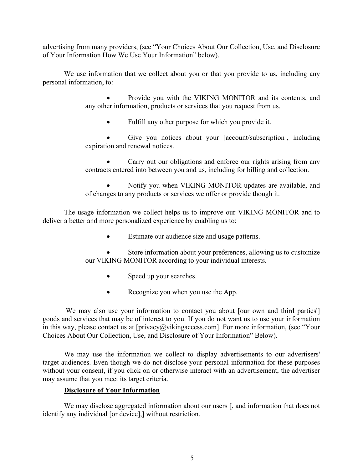advertising from many providers, (see "Your Choices About Our Collection, Use, and Disclosure of Your Information How We Use Your Information" below).

We use information that we collect about you or that you provide to us, including any personal information, to:

> • Provide you with the VIKING MONITOR and its contents, and any other information, products or services that you request from us.

Fulfill any other purpose for which you provide it.

Give you notices about your [account/subscription], including expiration and renewal notices.

Carry out our obligations and enforce our rights arising from any contracts entered into between you and us, including for billing and collection.

• Notify you when VIKING MONITOR updates are available, and of changes to any products or services we offer or provide though it.

The usage information we collect helps us to improve our VIKING MONITOR and to deliver a better and more personalized experience by enabling us to:

• Estimate our audience size and usage patterns.

Store information about your preferences, allowing us to customize our VIKING MONITOR according to your individual interests.

- Speed up your searches.
- Recognize you when you use the App.

We may also use your information to contact you about [our own and third parties'] goods and services that may be of interest to you. If you do not want us to use your information in this way, please contact us at [privacy@vikingaccess.com]. For more information, (see "Your Choices About Our Collection, Use, and Disclosure of Your Information" Below).

We may use the information we collect to display advertisements to our advertisers' target audiences. Even though we do not disclose your personal information for these purposes without your consent, if you click on or otherwise interact with an advertisement, the advertiser may assume that you meet its target criteria.

## **Disclosure of Your Information**

We may disclose aggregated information about our users [, and information that does not identify any individual [or device],] without restriction.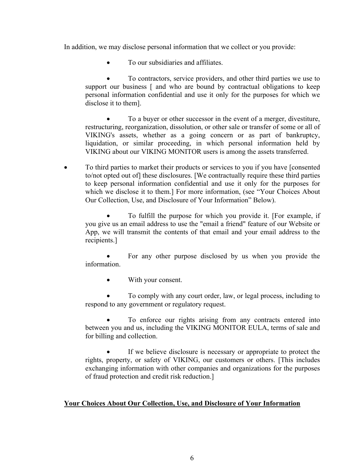In addition, we may disclose personal information that we collect or you provide:

• To our subsidiaries and affiliates.

• To contractors, service providers, and other third parties we use to support our business [ and who are bound by contractual obligations to keep personal information confidential and use it only for the purposes for which we disclose it to them].

• To a buyer or other successor in the event of a merger, divestiture, restructuring, reorganization, dissolution, or other sale or transfer of some or all of VIKING's assets, whether as a going concern or as part of bankruptcy, liquidation, or similar proceeding, in which personal information held by VIKING about our VIKING MONITOR users is among the assets transferred.

• To third parties to market their products or services to you if you have [consented to/not opted out of] these disclosures. [We contractually require these third parties to keep personal information confidential and use it only for the purposes for which we disclose it to them.] For more information, (see "Your Choices About Our Collection, Use, and Disclosure of Your Information" Below).

• To fulfill the purpose for which you provide it. [For example, if you give us an email address to use the "email a friend" feature of our Website or App, we will transmit the contents of that email and your email address to the recipients.]

For any other purpose disclosed by us when you provide the information.

• With your consent.

• To comply with any court order, law, or legal process, including to respond to any government or regulatory request.

To enforce our rights arising from any contracts entered into between you and us, including the VIKING MONITOR EULA, terms of sale and for billing and collection.

If we believe disclosure is necessary or appropriate to protect the rights, property, or safety of VIKING, our customers or others. [This includes exchanging information with other companies and organizations for the purposes of fraud protection and credit risk reduction.]

## **Your Choices About Our Collection, Use, and Disclosure of Your Information**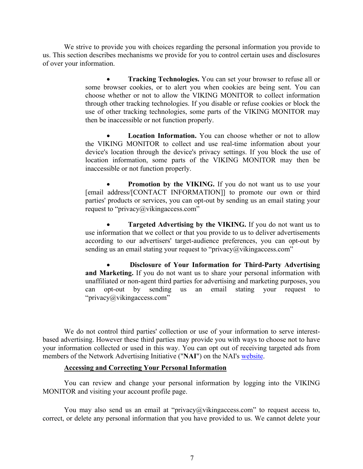We strive to provide you with choices regarding the personal information you provide to us. This section describes mechanisms we provide for you to control certain uses and disclosures of over your information.

> • **Tracking Technologies.** You can set your browser to refuse all or some browser cookies, or to alert you when cookies are being sent. You can choose whether or not to allow the VIKING MONITOR to collect information through other tracking technologies. If you disable or refuse cookies or block the use of other tracking technologies, some parts of the VIKING MONITOR may then be inaccessible or not function properly.

> **Location Information.** You can choose whether or not to allow the VIKING MONITOR to collect and use real-time information about your device's location through the device's privacy settings. If you block the use of location information, some parts of the VIKING MONITOR may then be inaccessible or not function properly.

> **Promotion by the VIKING.** If you do not want us to use your [email address/[CONTACT INFORMATION]] to promote our own or third parties' products or services, you can opt-out by sending us an email stating your request to "privacy@vikingaccess.com"

> • **Targeted Advertising by the VIKING.** If you do not want us to use information that we collect or that you provide to us to deliver advertisements according to our advertisers' target-audience preferences, you can opt-out by sending us an email stating your request to "privacy $@$ vikingaccess.com"

> • **Disclosure of Your Information for Third-Party Advertising and Marketing.** If you do not want us to share your personal information with unaffiliated or non-agent third parties for advertising and marketing purposes, you can opt-out by sending us an email stating your request to "privacy@vikingaccess.com"

We do not control third parties' collection or use of your information to serve interestbased advertising. However these third parties may provide you with ways to choose not to have your information collected or used in this way. You can opt out of receiving targeted ads from members of the Network Advertising Initiative ("**NAI**") on the NAI's website.

#### **Accessing and Correcting Your Personal Information**

You can review and change your personal information by logging into the VIKING MONITOR and visiting your account profile page.

You may also send us an email at "privacy@vikingaccess.com" to request access to, correct, or delete any personal information that you have provided to us. We cannot delete your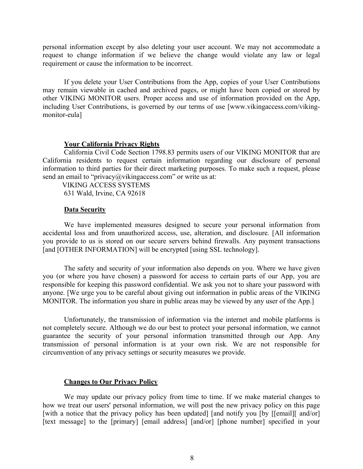personal information except by also deleting your user account. We may not accommodate a request to change information if we believe the change would violate any law or legal requirement or cause the information to be incorrect.

If you delete your User Contributions from the App, copies of your User Contributions may remain viewable in cached and archived pages, or might have been copied or stored by other VIKING MONITOR users. Proper access and use of information provided on the App, including User Contributions, is governed by our terms of use [www.vikingaccess.com/vikingmonitor-eula]

#### **Your California Privacy Rights**

California Civil Code Section 1798.83 permits users of our VIKING MONITOR that are California residents to request certain information regarding our disclosure of personal information to third parties for their direct marketing purposes. To make such a request, please send an email to "privacy@vikingaccess.com" or write us at:

 VIKING ACCESS SYSTEMS 631 Wald, Irvine, CA 92618

#### **Data Security**

We have implemented measures designed to secure your personal information from accidental loss and from unauthorized access, use, alteration, and disclosure. [All information you provide to us is stored on our secure servers behind firewalls. Any payment transactions [and [OTHER INFORMATION] will be encrypted [using SSL technology].

The safety and security of your information also depends on you. Where we have given you (or where you have chosen) a password for access to certain parts of our App, you are responsible for keeping this password confidential. We ask you not to share your password with anyone. [We urge you to be careful about giving out information in public areas of the VIKING MONITOR. The information you share in public areas may be viewed by any user of the App.]

Unfortunately, the transmission of information via the internet and mobile platforms is not completely secure. Although we do our best to protect your personal information, we cannot guarantee the security of your personal information transmitted through our App. Any transmission of personal information is at your own risk. We are not responsible for circumvention of any privacy settings or security measures we provide.

#### **Changes to Our Privacy Policy**

We may update our privacy policy from time to time. If we make material changes to how we treat our users' personal information, we will post the new privacy policy on this page [with a notice that the privacy policy has been updated] [and notify you [by [[email][ and/or] [text message] to the [primary] [email address] [and/or] [phone number] specified in your